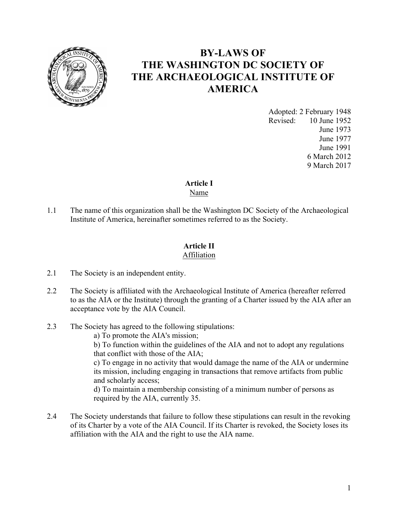

# **BY-LAWS OF THE WASHINGTON DC SOCIETY OF THE ARCHAEOLOGICAL INSTITUTE OF AMERICA**

Adopted: 2 February 1948 Revised: 10 June 1952 June 1973 June 1977 June 1991 6 March 2012 9 March 2017

# **Article I**

Name

1.1 The name of this organization shall be the Washington DC Society of the Archaeological Institute of America, hereinafter sometimes referred to as the Society.

### **Article II** Affiliation

- 2.1 The Society is an independent entity.
- 2.2 The Society is affiliated with the Archaeological Institute of America (hereafter referred to as the AIA or the Institute) through the granting of a Charter issued by the AIA after an acceptance vote by the AIA Council.
- 2.3 The Society has agreed to the following stipulations:
	- a) To promote the AIA's mission;

b) To function within the guidelines of the AIA and not to adopt any regulations that conflict with those of the AIA;

c) To engage in no activity that would damage the name of the AIA or undermine its mission, including engaging in transactions that remove artifacts from public and scholarly access;

d) To maintain a membership consisting of a minimum number of persons as required by the AIA, currently 35.

2.4 The Society understands that failure to follow these stipulations can result in the revoking of its Charter by a vote of the AIA Council. If its Charter is revoked, the Society loses its affiliation with the AIA and the right to use the AIA name.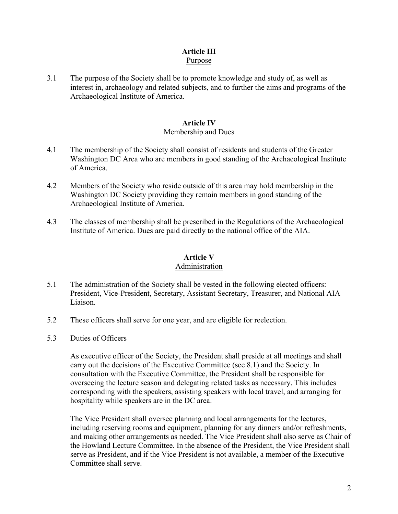#### **Article III** Purpose

3.1 The purpose of the Society shall be to promote knowledge and study of, as well as interest in, archaeology and related subjects, and to further the aims and programs of the Archaeological Institute of America.

### **Article IV** Membership and Dues

- 4.1 The membership of the Society shall consist of residents and students of the Greater Washington DC Area who are members in good standing of the Archaeological Institute of America.
- 4.2 Members of the Society who reside outside of this area may hold membership in the Washington DC Society providing they remain members in good standing of the Archaeological Institute of America.
- 4.3 The classes of membership shall be prescribed in the Regulations of the Archaeological Institute of America. Dues are paid directly to the national office of the AIA.

### **Article V**

### Administration

- 5.1 The administration of the Society shall be vested in the following elected officers: President, Vice-President, Secretary, Assistant Secretary, Treasurer, and National AIA Liaison.
- 5.2 These officers shall serve for one year, and are eligible for reelection.
- 5.3 Duties of Officers

As executive officer of the Society, the President shall preside at all meetings and shall carry out the decisions of the Executive Committee (see 8.1) and the Society. In consultation with the Executive Committee, the President shall be responsible for overseeing the lecture season and delegating related tasks as necessary. This includes corresponding with the speakers, assisting speakers with local travel, and arranging for hospitality while speakers are in the DC area.

The Vice President shall oversee planning and local arrangements for the lectures, including reserving rooms and equipment, planning for any dinners and/or refreshments, and making other arrangements as needed. The Vice President shall also serve as Chair of the Howland Lecture Committee. In the absence of the President, the Vice President shall serve as President, and if the Vice President is not available, a member of the Executive Committee shall serve.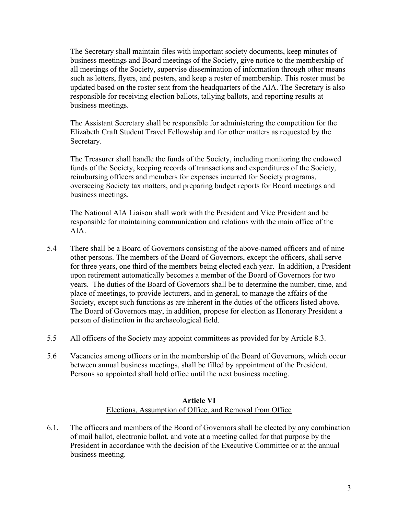The Secretary shall maintain files with important society documents, keep minutes of business meetings and Board meetings of the Society, give notice to the membership of all meetings of the Society, supervise dissemination of information through other means such as letters, flyers, and posters, and keep a roster of membership. This roster must be updated based on the roster sent from the headquarters of the AIA. The Secretary is also responsible for receiving election ballots, tallying ballots, and reporting results at business meetings.

The Assistant Secretary shall be responsible for administering the competition for the Elizabeth Craft Student Travel Fellowship and for other matters as requested by the Secretary.

The Treasurer shall handle the funds of the Society, including monitoring the endowed funds of the Society, keeping records of transactions and expenditures of the Society, reimbursing officers and members for expenses incurred for Society programs, overseeing Society tax matters, and preparing budget reports for Board meetings and business meetings.

The National AIA Liaison shall work with the President and Vice President and be responsible for maintaining communication and relations with the main office of the AIA.

- 5.4 There shall be a Board of Governors consisting of the above-named officers and of nine other persons. The members of the Board of Governors, except the officers, shall serve for three years, one third of the members being elected each year. In addition, a President upon retirement automatically becomes a member of the Board of Governors for two years. The duties of the Board of Governors shall be to determine the number, time, and place of meetings, to provide lecturers, and in general, to manage the affairs of the Society, except such functions as are inherent in the duties of the officers listed above. The Board of Governors may, in addition, propose for election as Honorary President a person of distinction in the archaeological field.
- 5.5 All officers of the Society may appoint committees as provided for by Article 8.3.
- 5.6 Vacancies among officers or in the membership of the Board of Governors, which occur between annual business meetings, shall be filled by appointment of the President. Persons so appointed shall hold office until the next business meeting.

### **Article VI** Elections, Assumption of Office, and Removal from Office

6.1. The officers and members of the Board of Governors shall be elected by any combination of mail ballot, electronic ballot, and vote at a meeting called for that purpose by the President in accordance with the decision of the Executive Committee or at the annual business meeting.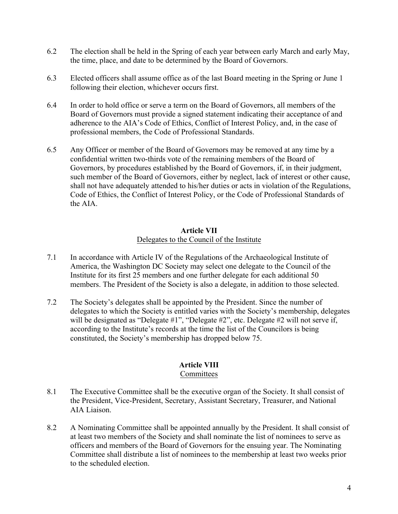- 6.2 The election shall be held in the Spring of each year between early March and early May, the time, place, and date to be determined by the Board of Governors.
- 6.3 Elected officers shall assume office as of the last Board meeting in the Spring or June 1 following their election, whichever occurs first.
- 6.4 In order to hold office or serve a term on the Board of Governors, all members of the Board of Governors must provide a signed statement indicating their acceptance of and adherence to the AIA's Code of Ethics, Conflict of Interest Policy, and, in the case of professional members, the Code of Professional Standards.
- 6.5 Any Officer or member of the Board of Governors may be removed at any time by a confidential written two-thirds vote of the remaining members of the Board of Governors, by procedures established by the Board of Governors, if, in their judgment, such member of the Board of Governors, either by neglect, lack of interest or other cause, shall not have adequately attended to his/her duties or acts in violation of the Regulations, Code of Ethics, the Conflict of Interest Policy, or the Code of Professional Standards of the AIA.

### **Article VII** Delegates to the Council of the Institute

- 7.1 In accordance with Article IV of the Regulations of the Archaeological Institute of America, the Washington DC Society may select one delegate to the Council of the Institute for its first 25 members and one further delegate for each additional 50 members. The President of the Society is also a delegate, in addition to those selected.
- 7.2 The Society's delegates shall be appointed by the President. Since the number of delegates to which the Society is entitled varies with the Society's membership, delegates will be designated as "Delegate #1", "Delegate #2", etc. Delegate #2 will not serve if, according to the Institute's records at the time the list of the Councilors is being constituted, the Society's membership has dropped below 75.

## **Article VIII**

### Committees

- 8.1 The Executive Committee shall be the executive organ of the Society. It shall consist of the President, Vice-President, Secretary, Assistant Secretary, Treasurer, and National AIA Liaison.
- 8.2 A Nominating Committee shall be appointed annually by the President. It shall consist of at least two members of the Society and shall nominate the list of nominees to serve as officers and members of the Board of Governors for the ensuing year. The Nominating Committee shall distribute a list of nominees to the membership at least two weeks prior to the scheduled election.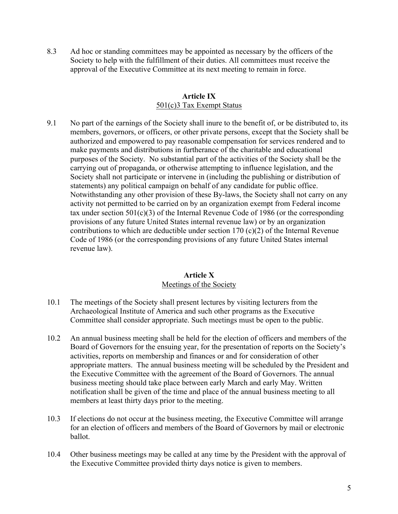8.3 Ad hoc or standing committees may be appointed as necessary by the officers of the Society to help with the fulfillment of their duties. All committees must receive the approval of the Executive Committee at its next meeting to remain in force.

### **Article IX** 501(c)3 Tax Exempt Status

9.1 No part of the earnings of the Society shall inure to the benefit of, or be distributed to, its members, governors, or officers, or other private persons, except that the Society shall be authorized and empowered to pay reasonable compensation for services rendered and to make payments and distributions in furtherance of the charitable and educational purposes of the Society. No substantial part of the activities of the Society shall be the carrying out of propaganda, or otherwise attempting to influence legislation, and the Society shall not participate or intervene in (including the publishing or distribution of statements) any political campaign on behalf of any candidate for public office. Notwithstanding any other provision of these By-laws, the Society shall not carry on any activity not permitted to be carried on by an organization exempt from Federal income tax under section  $501(c)(3)$  of the Internal Revenue Code of 1986 (or the corresponding provisions of any future United States internal revenue law) or by an organization contributions to which are deductible under section 170 (c)(2) of the Internal Revenue Code of 1986 (or the corresponding provisions of any future United States internal revenue law).

### **Article X** Meetings of the Society

- 10.1 The meetings of the Society shall present lectures by visiting lecturers from the Archaeological Institute of America and such other programs as the Executive Committee shall consider appropriate. Such meetings must be open to the public.
- 10.2 An annual business meeting shall be held for the election of officers and members of the Board of Governors for the ensuing year, for the presentation of reports on the Society's activities, reports on membership and finances or and for consideration of other appropriate matters. The annual business meeting will be scheduled by the President and the Executive Committee with the agreement of the Board of Governors. The annual business meeting should take place between early March and early May. Written notification shall be given of the time and place of the annual business meeting to all members at least thirty days prior to the meeting.
- 10.3 If elections do not occur at the business meeting, the Executive Committee will arrange for an election of officers and members of the Board of Governors by mail or electronic ballot.
- 10.4 Other business meetings may be called at any time by the President with the approval of the Executive Committee provided thirty days notice is given to members.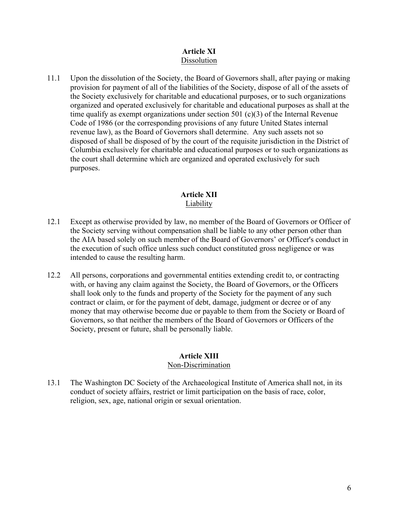### **Article XI** Dissolution

11.1 Upon the dissolution of the Society, the Board of Governors shall, after paying or making provision for payment of all of the liabilities of the Society, dispose of all of the assets of the Society exclusively for charitable and educational purposes, or to such organizations organized and operated exclusively for charitable and educational purposes as shall at the time qualify as exempt organizations under section 501 (c)(3) of the Internal Revenue Code of 1986 (or the corresponding provisions of any future United States internal revenue law), as the Board of Governors shall determine. Any such assets not so disposed of shall be disposed of by the court of the requisite jurisdiction in the District of Columbia exclusively for charitable and educational purposes or to such organizations as the court shall determine which are organized and operated exclusively for such purposes.

### **Article XII** Liability

- 12.1 Except as otherwise provided by law, no member of the Board of Governors or Officer of the Society serving without compensation shall be liable to any other person other than the AIA based solely on such member of the Board of Governors' or Officer's conduct in the execution of such office unless such conduct constituted gross negligence or was intended to cause the resulting harm.
- 12.2 All persons, corporations and governmental entities extending credit to, or contracting with, or having any claim against the Society, the Board of Governors, or the Officers shall look only to the funds and property of the Society for the payment of any such contract or claim, or for the payment of debt, damage, judgment or decree or of any money that may otherwise become due or payable to them from the Society or Board of Governors, so that neither the members of the Board of Governors or Officers of the Society, present or future, shall be personally liable.

## **Article XIII**

### Non-Discrimination

13.1 The Washington DC Society of the Archaeological Institute of America shall not, in its conduct of society affairs, restrict or limit participation on the basis of race, color, religion, sex, age, national origin or sexual orientation.